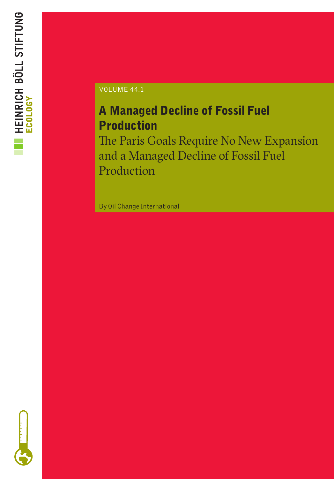

### VOLUME 44.1

### A Managed Decline of Fossil Fuel Production

The Paris Goals Require No New Expansion and a Managed Decline of Fossil Fuel Production

By Oil Change International

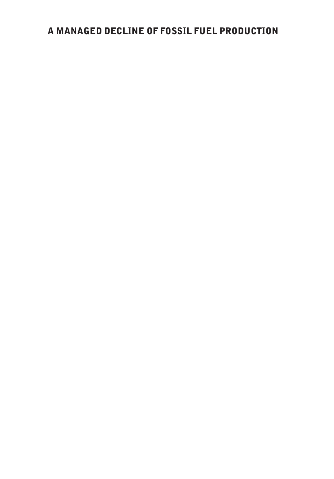### A MANAGED DECLINE OF FOSSIL FUEL PRODUCTION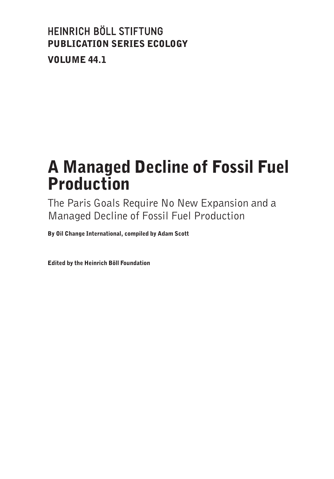### HEINRICH BÖLL STIFTUNG PUBLICATION SERIES ECOLOGY VOLUME 44.1

### A Managed Decline of Fossil Fuel Production

The Paris Goals Require No New Expansion and a Managed Decline of Fossil Fuel Production

By Oil Change International, compiled by Adam Scott

Edited by the Heinrich Böll Foundation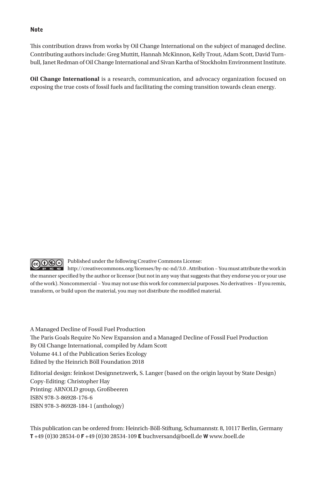#### Note

This contribution draws from works by Oil Change International on the subject of managed decline. Contributing authors include: Greg Muttitt, Hannah McKinnon, Kelly Trout, Adam Scott, David Turnbull, Janet Redman of Oil Change International and Sivan Kartha of Stockholm Environment Institute.

**Oil Change International** is a research, communication, and advocacy organization focused on exposing the true costs of fossil fuels and facilitating the coming transition towards clean energy.

Published under the following Creative Commons License:

 $G \oplus \mathbb{G}$ **NG ND** http://creativecommons.org/licenses/by-nc-nd/3.0. Attribution - You must attribute the work in the manner specified by the author or licensor (but not in any way that suggests that they endorse you or your use of the work). Noncommercial – You may not use this work for commercial purposes. No derivatives – If you remix, transform, or build upon the material, you may not distribute the modified material.

A Managed Decline of Fossil Fuel Production The Paris Goals Require No New Expansion and a Managed Decline of Fossil Fuel Production By Oil Change International, compiled by Adam Scott Volume 44.1 of the Publication Series Ecology Edited by the Heinrich Böll Foundation 2018

Editorial design: feinkost Designnetzwerk, S. Langer (based on the origin layout by State Design) Copy-Editing: Christopher Hay Printing: ARNOLD group, Großbeeren ISBN 978-3-86928-176-6 ISBN 978-3-86928-184-1 (anthology)

This publication can be ordered from: Heinrich-Böll-Stiftung, Schumannstr. 8, 10117 Berlin, Germany T +49 (0)30 28534-0 F +49 (0)30 28534-109 E buchversand@boell.de W www.boell.de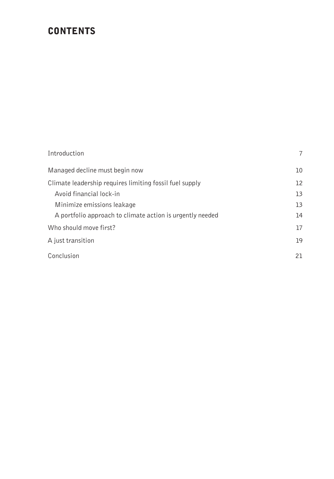### **CONTENTS**

| Introduction                                              | 7  |
|-----------------------------------------------------------|----|
| Managed decline must begin now                            | 10 |
| Climate leadership requires limiting fossil fuel supply   | 12 |
| Avoid financial lock-in                                   | 13 |
| Minimize emissions leakage                                | 13 |
| A portfolio approach to climate action is urgently needed | 14 |
| Who should move first?                                    | 17 |
| A just transition                                         | 19 |
| Conclusion                                                | 21 |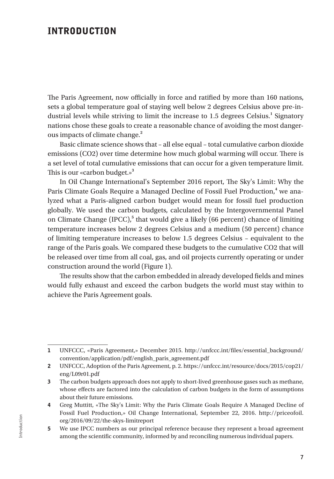#### INTRODUCTION

The Paris Agreement, now officially in force and ratified by more than 160 nations, sets a global temperature goal of staying well below 2 degrees Celsius above pre-industrial levels while striving to limit the increase to 1.5 degrees Celsius.<sup>1</sup> Signatory nations chose these goals to create a reasonable chance of avoiding the most dangerous impacts of climate change.**<sup>2</sup>**

Basic climate science shows that – all else equal – total cumulative carbon dioxide emissions (CO2) over time determine how much global warming will occur. There is a set level of total cumulative emissions that can occur for a given temperature limit. This is our «carbon budget.»**<sup>3</sup>**

In Oil Change International's September 2016 report, The Sky's Limit: Why the Paris Climate Goals Require a Managed Decline of Fossil Fuel Production,<sup>4</sup> we analyzed what a Paris-aligned carbon budget would mean for fossil fuel production globally. We used the carbon budgets, calculated by the Intergovernmental Panel on Climate Change (IPCC),<sup>5</sup> that would give a likely (66 percent) chance of limiting temperature increases below 2 degrees Celsius and a medium (50 percent) chance of limiting temperature increases to below 1.5 degrees Celsius – equivalent to the range of the Paris goals. We compared these budgets to the cumulative CO2 that will be released over time from all coal, gas, and oil projects currently operating or under construction around the world (Figure 1).

The results show that the carbon embedded in already developed fields and mines would fully exhaust and exceed the carbon budgets the world must stay within to achieve the Paris Agreement goals.

<sup>1</sup> UNFCCC, «Paris Agreement,» December 2015. http://unfccc.int/files/essential\_background/ convention/application/pdf/english\_paris\_agreement.pdf

<sup>2</sup> UNFCCC, Adoption of the Paris Agreement, p. 2. https://unfccc.int/resource/docs/2015/cop21/ eng/L09r01.pdf

<sup>3</sup> The carbon budgets approach does not apply to short-lived greenhouse gases such as methane, whose effects are factored into the calculation of carbon budgets in the form of assumptions about their future emissions.

<sup>4</sup> Greg Muttitt, «The Sky's Limit: Why the Paris Climate Goals Require A Managed Decline of Fossil Fuel Production,» Oil Change International, September 22, 2016. http://priceofoil. org/2016/09/22/the-skys-limitreport

<sup>5</sup> We use IPCC numbers as our principal reference because they represent a broad agreement among the scientific community, informed by and reconciling numerous individual papers.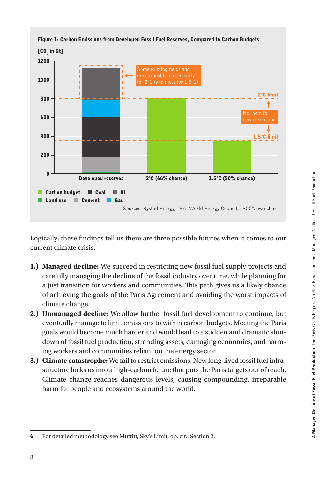

Logically, these findings tell us there are three possible futures when it comes to our current climate crisis:

- **1.) Managed decline:** We succeed in restricting new fossil fuel supply projects and carefully managing the decline of the fossil industry over time, while planning for a just transition for workers and communities. This path gives us a likely chance of achieving the goals of the Paris Agreement and avoiding the worst impacts of climate change.
- **2.) Unmanaged decline:** We allow further fossil fuel development to continue, but eventually manage to limit emissions to within carbon budgets. Meeting the Paris goals would become much harder and would lead to a sudden and dramatic shutdown of fossil fuel production, stranding assets, damaging economies, and harming workers and communities reliant on the energy sector.
- **3.) Climate catastrophe:** We fail to restrict emissions. New long-lived fossil fuel infrastructure locks us into a high-carbon future that puts the Paris targets out of reach. Climate change reaches dangerous levels, causing compounding, irreparable harm for people and ecosystems around the world.

<sup>6</sup> For detailed methodology see Muttitt, Sky's Limit, op. cit., Section 2.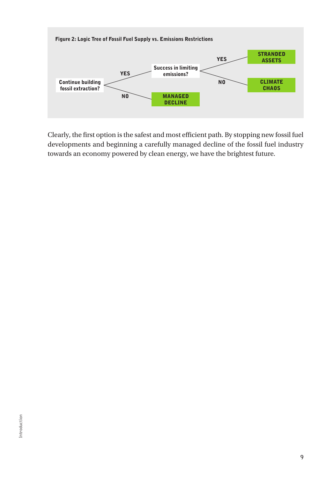

Clearly, the first option is the safest and most efficient path. By stopping new fossil fuel developments and beginning a carefully managed decline of the fossil fuel industry towards an economy powered by clean energy, we have the brightest future.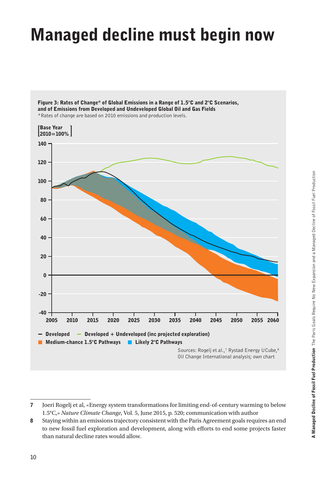# Managed decline must begin now



Figure 3: Rates of Change\* of Global Emissions in a Range of 1.5°C and 2°C Scenarios, and of Emissions from Developed and Undeveloped Global Oil and Gas Fields \*Rates of change are based on 2010 emissions and production levels.

<sup>7</sup> Joeri Rogelj et al, «Energy system transformations for limiting end-of-century warming to below 1.5°C,» *Nature Climate Change*, Vol. 5, June 2015, p. 520; communication with author

<sup>8</sup> Staying within an emissions trajectory consistent with the Paris Agreement goals requires an end to new fossil fuel exploration and development, along with efforts to end some projects faster than natural decline rates would allow.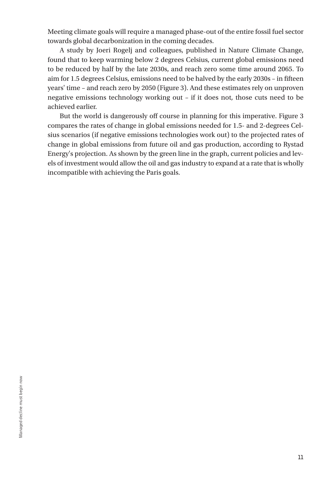Meeting climate goals will require a managed phase-out of the entire fossil fuel sector towards global decarbonization in the coming decades.

A study by Joeri Rogelj and colleagues, published in Nature Climate Change, found that to keep warming below 2 degrees Celsius, current global emissions need to be reduced by half by the late 2030s, and reach zero some time around 2065. To aim for 1.5 degrees Celsius, emissions need to be halved by the early 2030s – in fifteen years' time – and reach zero by 2050 (Figure 3). And these estimates rely on unproven negative emissions technology working out – if it does not, those cuts need to be achieved earlier.

But the world is dangerously off course in planning for this imperative. Figure 3 compares the rates of change in global emissions needed for 1.5- and 2-degrees Celsius scenarios (if negative emissions technologies work out) to the projected rates of change in global emissions from future oil and gas production, according to Rystad Energy's projection. As shown by the green line in the graph, current policies and levels of investment would allow the oil and gas industry to expand at a rate that is wholly incompatible with achieving the Paris goals.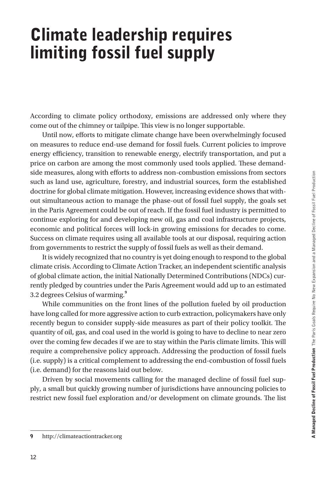## Climate leadership requires limiting fossil fuel supply

According to climate policy orthodoxy, emissions are addressed only where they come out of the chimney or tailpipe. This view is no longer supportable.

Until now, efforts to mitigate climate change have been overwhelmingly focused on measures to reduce end-use demand for fossil fuels. Current policies to improve energy efficiency, transition to renewable energy, electrify transportation, and put a price on carbon are among the most commonly used tools applied. These demandside measures, along with efforts to address non-combustion emissions from sectors such as land use, agriculture, forestry, and industrial sources, form the established doctrine for global climate mitigation. However, increasing evidence shows that without simultaneous action to manage the phase-out of fossil fuel supply, the goals set in the Paris Agreement could be out of reach. If the fossil fuel industry is permitted to continue exploring for and developing new oil, gas and coal infrastructure projects, economic and political forces will lock-in growing emissions for decades to come. Success on climate requires using all available tools at our disposal, requiring action from governments to restrict the supply of fossil fuels as well as their demand.

It is widely recognized that no country is yet doing enough to respond to the global climate crisis. According to Climate Action Tracker, an independent scientific analysis of global climate action, the initial Nationally Determined Contributions (NDCs) currently pledged by countries under the Paris Agreement would add up to an estimated 3.2 degrees Celsius of warming.**<sup>9</sup>**

While communities on the front lines of the pollution fueled by oil production have long called for more aggressive action to curb extraction, policymakers have only recently begun to consider supply-side measures as part of their policy toolkit. The quantity of oil, gas, and coal used in the world is going to have to decline to near zero over the coming few decades if we are to stay within the Paris climate limits. This will require a comprehensive policy approach. Addressing the production of fossil fuels (i.e. supply) is a critical complement to addressing the end-combustion of fossil fuels (i.e. demand) for the reasons laid out below.

Driven by social movements calling for the managed decline of fossil fuel supply, a small but quickly growing number of jurisdictions have announcing policies to restrict new fossil fuel exploration and/or development on climate grounds. The list

<sup>9</sup> http://climateactiontracker.org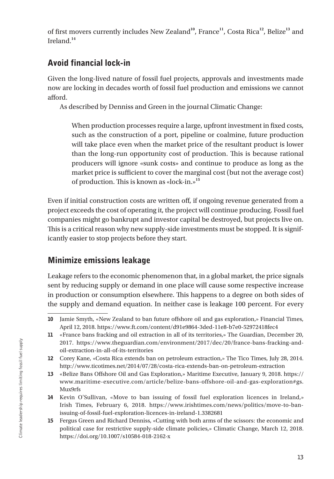of first movers currently includes New Zealand**<sup>10</sup>**, France**<sup>11</sup>**, Costa Rica**<sup>12</sup>**, Belize**<sup>13</sup>** and Ireland.**<sup>14</sup>**

### Avoid financial lock-in

Given the long-lived nature of fossil fuel projects, approvals and investments made now are locking in decades worth of fossil fuel production and emissions we cannot afford.

As described by Denniss and Green in the journal Climatic Change:

When production processes require a large, upfront investment in fixed costs, such as the construction of a port, pipeline or coalmine, future production will take place even when the market price of the resultant product is lower than the long-run opportunity cost of production. This is because rational producers will ignore «sunk costs» and continue to produce as long as the market price is sufficient to cover the marginal cost (but not the average cost) of production. This is known as «lock-in.»**<sup>15</sup>**

Even if initial construction costs are written off, if ongoing revenue generated from a project exceeds the cost of operating it, the project will continue producing. Fossil fuel companies might go bankrupt and investor capital be destroyed, but projects live on. This is a critical reason why new supply-side investments must be stopped. It is significantly easier to stop projects before they start.

### Minimize emissions leakage

Leakage refers to the economic phenomenon that, in a global market, the price signals sent by reducing supply or demand in one place will cause some respective increase in production or consumption elsewhere. This happens to a degree on both sides of the supply and demand equation. In neither case is leakage 100 percent. For every

<sup>10</sup> Jamie Smyth, «New Zealand to ban future offshore oil and gas exploration,» Financial Times, April 12, 2018. https://www.ft.com/content/d91e9864-3ded-11e8-b7e0-52972418fec4

<sup>11</sup> «France bans fracking and oil extraction in all of its territories,» The Guardian, December 20, 2017. https://www.theguardian.com/environment/2017/dec/20/france-bans-fracking-andoil-extraction-in-all-of-its-territories

<sup>12</sup> Corey Kane, «Costa Rica extends ban on petroleum extraction,» The Tico Times, July 28, 2014. http://www.ticotimes.net/2014/07/28/costa-rica-extends-ban-on-petroleum-extraction

<sup>13</sup> «Belize Bans Offshore Oil and Gas Exploration,» Maritime Executive, January 9, 2018. https:// www.maritime-executive.com/article/belize-bans-offshore-oil-and-gas-exploration#gs. Mux9rfs

<sup>14</sup> Kevin O'Sullivan, «Move to ban issuing of fossil fuel exploration licences in Ireland,» Irish Times, February 6, 2018. https://www.irishtimes.com/news/politics/move-to-banissuing-of-fossil-fuel-exploration-licences-in-ireland-1.3382681

<sup>15</sup> Fergus Green and Richard Denniss, «Cutting with both arms of the scissors: the economic and political case for restrictive supply-side climate policies,» Climatic Change, March 12, 2018. https://doi.org/10.1007/s10584-018-2162-x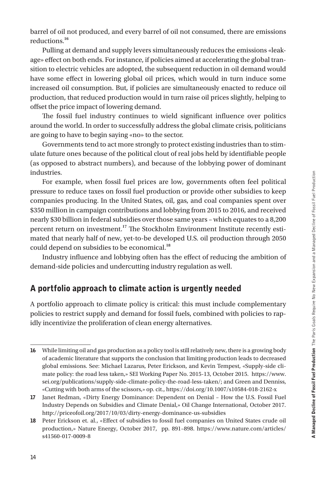barrel of oil not produced, and every barrel of oil not consumed, there are emissions reductions.**<sup>16</sup>**

Pulling at demand and supply levers simultaneously reduces the emissions «leakage» effect on both ends. For instance, if policies aimed at accelerating the global transition to electric vehicles are adopted, the subsequent reduction in oil demand would have some effect in lowering global oil prices, which would in turn induce some increased oil consumption. But, if policies are simultaneously enacted to reduce oil production, that reduced production would in turn raise oil prices slightly, helping to offset the price impact of lowering demand.

The fossil fuel industry continues to wield significant influence over politics around the world. In order to successfully address the global climate crisis, politicians are going to have to begin saying «no» to the sector.

Governments tend to act more strongly to protect existing industries than to stimulate future ones because of the political clout of real jobs held by identifiable people (as opposed to abstract numbers), and because of the lobbying power of dominant industries.

For example, when fossil fuel prices are low, governments often feel political pressure to reduce taxes on fossil fuel production or provide other subsidies to keep companies producing. In the United States, oil, gas, and coal companies spent over \$350 million in campaign contributions and lobbying from 2015 to 2016, and received nearly \$30 billion in federal subsidies over those same years – which equates to a 8,200 percent return on investment.**<sup>17</sup>** The Stockholm Environment Institute recently estimated that nearly half of new, yet-to-be developed U.S. oil production through 2050 could depend on subsidies to be economical.**<sup>18</sup>**

Industry influence and lobbying often has the effect of reducing the ambition of demand-side policies and undercutting industry regulation as well.

#### A portfolio approach to climate action is urgently needed

A portfolio approach to climate policy is critical: this must include complementary policies to restrict supply and demand for fossil fuels, combined with policies to rapidly incentivize the proliferation of clean energy alternatives.

<sup>16</sup> While limiting oil and gas production as a policy tool is still relatively new, there is a growing body of academic literature that supports the conclusion that limiting production leads to decreased global emissions. See: Michael Lazarus, Peter Erickson, and Kevin Tempest, «Supply-side climate policy: the road less taken,» SEI Working Paper No. 2015-13, October 2015. https://www. sei.org/publications/supply-side-climate-policy-the-road-less-taken/; and Green and Denniss, «Cutting with both arms of the scissors,» op. cit., https://doi.org/10.1007/s10584-018-2162-x

<sup>17</sup> Janet Redman, «Dirty Energy Dominance: Dependent on Denial – How the U.S. Fossil Fuel Industry Depends on Subsidies and Climate Denial,» Oil Change International, October 2017. http://priceofoil.org/2017/10/03/dirty-energy-dominance-us-subsidies

<sup>18</sup> Peter Erickson et. al., «Effect of subsidies to fossil fuel companies on United States crude oil production,» Nature Energy, October 2017, pp. 891–898. https://www.nature.com/articles/ s41560-017-0009-8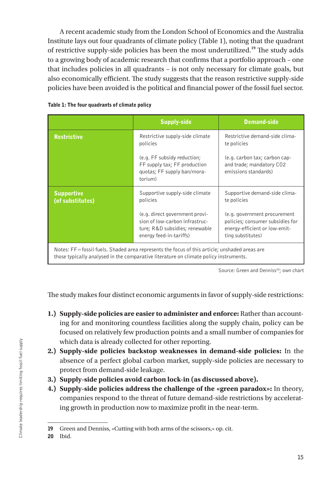A recent academic study from the London School of Economics and the Australia Institute lays out four quadrants of climate policy (Table 1), noting that the quadrant of restrictive supply-side policies has been the most underutilized.**<sup>19</sup>** The study adds to a growing body of academic research that confirms that a portfolio approach – one that includes policies in all quadrants – is not only necessary for climate goals, but also economically efficient. The study suggests that the reason restrictive supply-side policies have been avoided is the political and financial power of the fossil fuel sector.

|                                                                                              | <b>Supply-side</b>                                                                                                            | <b>Demand-side</b>                                                                                                     |
|----------------------------------------------------------------------------------------------|-------------------------------------------------------------------------------------------------------------------------------|------------------------------------------------------------------------------------------------------------------------|
| <b>Restrictive</b>                                                                           | Restrictive supply-side climate<br>policies                                                                                   | Restrictive demand-side clima-<br>te policies                                                                          |
|                                                                                              | (e.g. FF subsidy reduction;<br>FF supply tax; FF production<br>quotas; FF supply ban/mora-<br>torium)                         | (e.g. carbon tax; carbon cap-<br>and trade; mandatory CO2<br>emissions standards)                                      |
| <b>Supportive</b><br>(of substitutes)                                                        | Supportive supply-side climate<br>policies                                                                                    | Supportive demand-side clima-<br>te policies                                                                           |
|                                                                                              | (e.g. direct government provi-<br>sion of low-carbon infrastruc-<br>ture; R&D subsidies; renewable<br>energy feed-in-tariffs) | (e.g. government procurement<br>policies; consumer subsidies for<br>energy-efficient or low-emit-<br>ting substitutes) |
| Notes: EE-fossil fuels, Shaded area represents the focus of this article: unshaded areas are |                                                                                                                               |                                                                                                                        |

#### Table 1: The four quadrants of climate policy

tossil fuels. Shaded area represents the focus of this article; unshaded are those typically analysed in the comparative literature on climate policy instruments.

Source: Green and Denniss<sup>20</sup>; own chart

The study makes four distinct economic arguments in favor of supply-side restrictions:

- **1.) Supply-side policies are easier to administer and enforce:** Rather than accounting for and monitoring countless facilities along the supply chain, policy can be focused on relatively few production points and a small number of companies for which data is already collected for other reporting.
- **2.) Supply-side policies backstop weaknesses in demand-side policies:** In the absence of a perfect global carbon market, supply-side policies are necessary to protect from demand-side leakage.
- **3.) Supply-side policies avoid carbon lock-in (as discussed above).**
- **4.) Supply-side policies address the challenge of the «green paradox»:** In theory, companies respond to the threat of future demand-side restrictions by accelerating growth in production now to maximize profit in the near-term.

<sup>19</sup> Green and Denniss, «Cutting with both arms of the scissors,» op. cit.

<sup>20</sup> Ibid.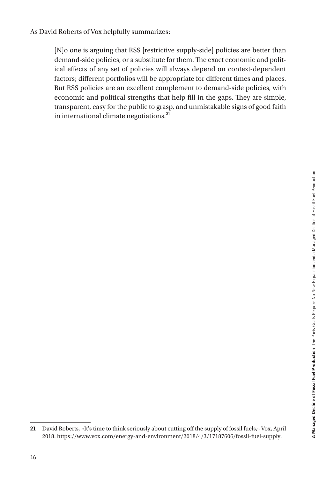As David Roberts of Vox helpfully summarizes:

[N]o one is arguing that RSS [restrictive supply-side] policies are better than demand-side policies, or a substitute for them. The exact economic and political effects of any set of policies will always depend on context-dependent factors; different portfolios will be appropriate for different times and places. But RSS policies are an excellent complement to demand-side policies, with economic and political strengths that help fill in the gaps. They are simple, transparent, easy for the public to grasp, and unmistakable signs of good faith in international climate negotiations.**<sup>21</sup>**

<sup>21</sup> David Roberts, «It's time to think seriously about cutting off the supply of fossil fuels,» Vox, April 2018. https://www.vox.com/energy-and-environment/2018/4/3/17187606/fossil-fuel-supply.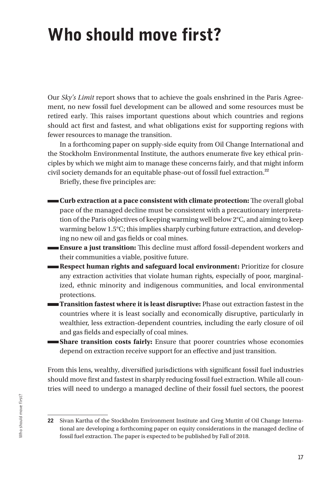## Who should move first?

Our *Sky's Limit* report shows that to achieve the goals enshrined in the Paris Agreement, no new fossil fuel development can be allowed and some resources must be retired early. This raises important questions about which countries and regions should act first and fastest, and what obligations exist for supporting regions with fewer resources to manage the transition.

In a forthcoming paper on supply-side equity from Oil Change International and the Stockholm Environmental Institute, the authors enumerate five key ethical principles by which we might aim to manage these concerns fairly, and that might inform civil society demands for an equitable phase-out of fossil fuel extraction.**<sup>22</sup>**

Briefly, these five principles are:

- **Curb extraction at a pace consistent with climate protection:** The overall global pace of the managed decline must be consistent with a precautionary interpretation of the Paris objectives of keeping warming well below 2°C, and aiming to keep warming below 1.5°C; this implies sharply curbing future extraction, and developing no new oil and gas fields or coal mines.
- **Ensure a just transition:** This decline must afford fossil-dependent workers and their communities a viable, positive future.
	- **Respect human rights and safeguard local environment:** Prioritize for closure any extraction activities that violate human rights, especially of poor, marginalized, ethnic minority and indigenous communities, and local environmental protections.
- **Transition fastest where it is least disruptive:** Phase out extraction fastest in the countries where it is least socially and economically disruptive, particularly in wealthier, less extraction-dependent countries, including the early closure of oil and gas fields and especially of coal mines.
- **Share transition costs fairly:** Ensure that poorer countries whose economies depend on extraction receive support for an effective and just transition.

From this lens, wealthy, diversified jurisdictions with significant fossil fuel industries should move first and fastest in sharply reducing fossil fuel extraction. While all countries will need to undergo a managed decline of their fossil fuel sectors, the poorest

<sup>22</sup> Sivan Kartha of the Stockholm Environment Institute and Greg Muttitt of Oil Change International are developing a forthcoming paper on equity considerations in the managed decline of fossil fuel extraction. The paper is expected to be published by Fall of 2018.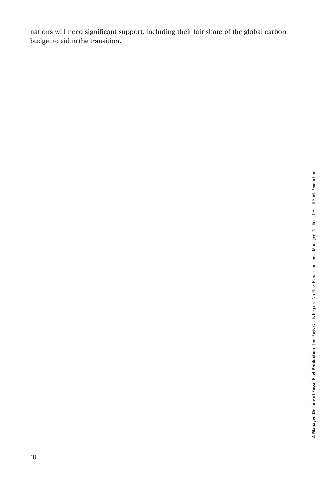nations will need significant support, including their fair share of the global carbon budget to aid in the transition.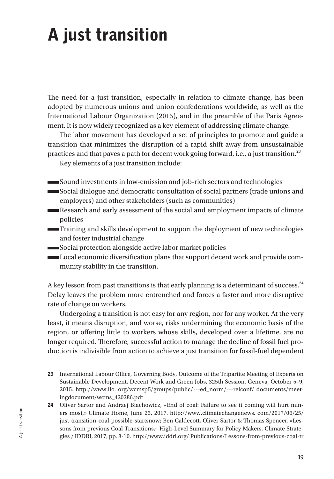# A just transition

The need for a just transition, especially in relation to climate change, has been adopted by numerous unions and union confederations worldwide, as well as the International Labour Organization (2015), and in the preamble of the Paris Agreement. It is now widely recognized as a key element of addressing climate change.

The labor movement has developed a set of principles to promote and guide a transition that minimizes the disruption of a rapid shift away from unsustainable practices and that paves a path for decent work going forward, i.e., a just transition.**<sup>23</sup>**

Key elements of a just transition include:

- Sound investments in low-emission and job-rich sectors and technologies
- Social dialogue and democratic consultation of social partners (trade unions and employers) and other stakeholders (such as communities)
- Research and early assessment of the social and employment impacts of climate policies
- Training and skills development to support the deployment of new technologies and foster industrial change
- Social protection alongside active labor market policies
- Local economic diversification plans that support decent work and provide community stability in the transition.

A key lesson from past transitions is that early planning is a determinant of success.**<sup>24</sup>** Delay leaves the problem more entrenched and forces a faster and more disruptive rate of change on workers.

Undergoing a transition is not easy for any region, nor for any worker. At the very least, it means disruption, and worse, risks undermining the economic basis of the region, or offering little to workers whose skills, developed over a lifetime, are no longer required. Therefore, successful action to manage the decline of fossil fuel production is indivisible from action to achieve a just transition for fossil-fuel dependent

<sup>23</sup> International Labour Office, Governing Body, Outcome of the Tripartite Meeting of Experts on Sustainable Development, Decent Work and Green Jobs, 325th Session, Geneva, October 5–9, 2015. http://www.ilo. org/wcmsp5/groups/public/---ed\_norm/---relconf/ documents/meetingdocument/wcms\_420286.pdf

<sup>24</sup> Oliver Sartor and Andrzej Błachowicz, «End of coal: Failure to see it coming will hurt miners most,» Climate Home, June 25, 2017. http://www.climatechangenews. com/2017/06/25/ just-transition-coal-possible-startsnow; Ben Caldecott, Oliver Sartor & Thomas Spencer, «Lessons from previous Coal Transitions,» High-Level Summary for Policy Makers, Climate Strategies / IDDRI, 2017, pp. 8-10. http://www.iddri.org/ Publications/Lessons-from-previous-coal-tr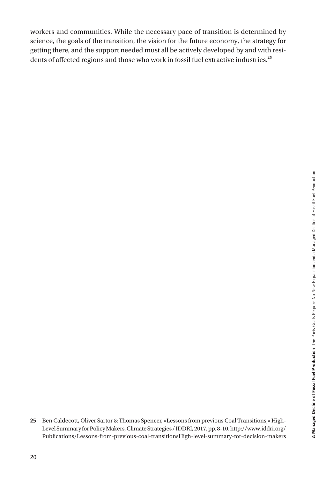workers and communities. While the necessary pace of transition is determined by science, the goals of the transition, the vision for the future economy, the strategy for getting there, and the support needed must all be actively developed by and with residents of affected regions and those who work in fossil fuel extractive industries.**<sup>25</sup>**

<sup>25</sup> Ben Caldecott, Oliver Sartor & Thomas Spencer, «Lessons from previous Coal Transitions,» High-Level Summary for Policy Makers, Climate Strategies / IDDRI, 2017, pp. 8-10. http://www.iddri.org/ Publications/Lessons-from-previous-coal-transitionsHigh-level-summary-for-decision-makers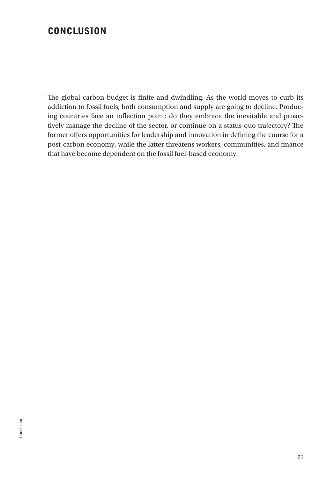### **CONCLUSION**

The global carbon budget is finite and dwindling. As the world moves to curb its addiction to fossil fuels, both consumption and supply are going to decline. Producing countries face an inflection point: do they embrace the inevitable and proactively manage the decline of the sector, or continue on a status quo trajectory? The former offers opportunities for leadership and innovation in defining the course for a post-carbon economy, while the latter threatens workers, communities, and finance that have become dependent on the fossil fuel-based economy.